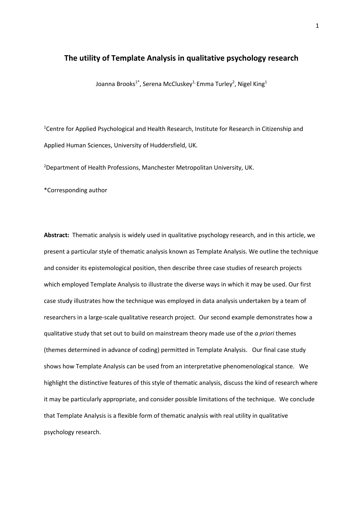### **The utility of Template Analysis in qualitative psychology research**

Joanna Brooks $^{1^*}$ , Serena McCluskey $^{1}$  Emma Turley $^{2}$ , Nigel King $^{1}$ 

<sup>1</sup>Centre for Applied Psychological and Health Research, Institute for Research in Citizenship and Applied Human Sciences, University of Huddersfield, UK.

<sup>2</sup>Department of Health Professions, Manchester Metropolitan University, UK.

\*Corresponding author

**Abstract:** Thematic analysis is widely used in qualitative psychology research, and in this article, we present a particular style of thematic analysis known as Template Analysis. We outline the technique and consider its epistemological position, then describe three case studies of research projects which employed Template Analysis to illustrate the diverse ways in which it may be used. Our first case study illustrates how the technique was employed in data analysis undertaken by a team of researchers in a large-scale qualitative research project. Our second example demonstrates how a qualitative study that set out to build on mainstream theory made use of the *a priori* themes (themes determined in advance of coding) permitted in Template Analysis. Our final case study shows how Template Analysis can be used from an interpretative phenomenological stance. We highlight the distinctive features of this style of thematic analysis, discuss the kind of research where it may be particularly appropriate, and consider possible limitations of the technique. We conclude that Template Analysis is a flexible form of thematic analysis with real utility in qualitative psychology research.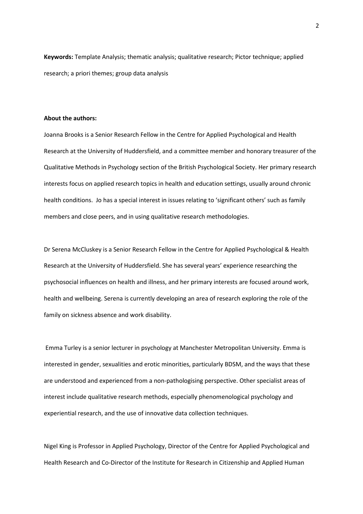**Keywords:** Template Analysis; thematic analysis; qualitative research; Pictor technique; applied research; a priori themes; group data analysis

#### **About the authors:**

Joanna Brooks is a Senior Research Fellow in the Centre for Applied Psychological and Health Research at the University of Huddersfield, and a committee member and honorary treasurer of the Qualitative Methods in Psychology section of the British Psychological Society. Her primary research interests focus on applied research topics in health and education settings, usually around chronic health conditions. Jo has a special interest in issues relating to 'significant others' such as family members and close peers, and in using qualitative research methodologies.

Dr Serena McCluskey is a Senior Research Fellow in the Centre for Applied Psychological & Health Research at the University of Huddersfield. She has several years' experience researching the psychosocial influences on health and illness, and her primary interests are focused around work, health and wellbeing. Serena is currently developing an area of research exploring the role of the family on sickness absence and work disability.

Emma Turley is a senior lecturer in psychology at Manchester Metropolitan University. Emma is interested in gender, sexualities and erotic minorities, particularly BDSM, and the ways that these are understood and experienced from a non-pathologising perspective. Other specialist areas of interest include qualitative research methods, especially phenomenological psychology and experiential research, and the use of innovative data collection techniques.

Nigel King is Professor in Applied Psychology, Director of the Centre for Applied Psychological and Health Research and Co-Director of the Institute for Research in Citizenship and Applied Human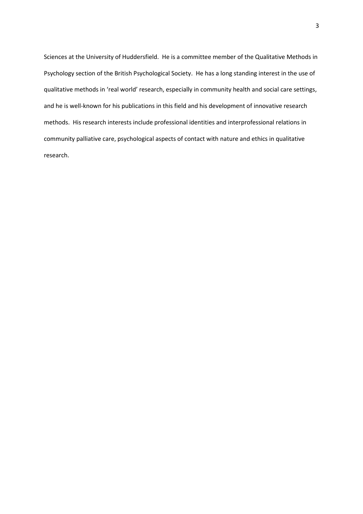Sciences at the University of Huddersfield. He is a committee member of the Qualitative Methods in Psychology section of the British Psychological Society. He has a long standing interest in the use of qualitative methods in 'real world' research, especially in community health and social care settings, and he is well-known for his publications in this field and his development of innovative research methods. His research interests include professional identities and interprofessional relations in community palliative care, psychological aspects of contact with nature and ethics in qualitative research.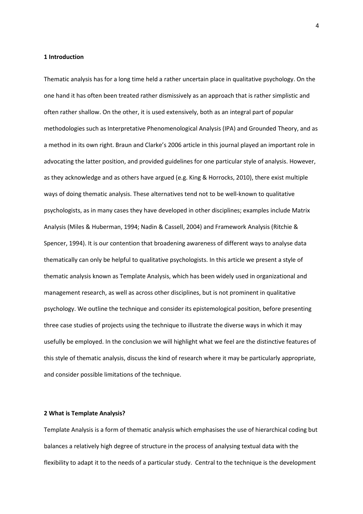#### **1 Introduction**

Thematic analysis has for a long time held a rather uncertain place in qualitative psychology. On the one hand it has often been treated rather dismissively as an approach that is rather simplistic and often rather shallow. On the other, it is used extensively, both as an integral part of popular methodologies such as Interpretative Phenomenological Analysis (IPA) and Grounded Theory, and as a method in its own right. Braun and Clarke's 2006 article in this journal played an important role in advocating the latter position, and provided guidelines for one particular style of analysis. However, as they acknowledge and as others have argued (e.g. King & Horrocks, 2010), there exist multiple ways of doing thematic analysis. These alternatives tend not to be well-known to qualitative psychologists, as in many cases they have developed in other disciplines; examples include Matrix Analysis (Miles & Huberman, 1994; Nadin & Cassell, 2004) and Framework Analysis (Ritchie & Spencer, 1994). It is our contention that broadening awareness of different ways to analyse data thematically can only be helpful to qualitative psychologists. In this article we present a style of thematic analysis known as Template Analysis, which has been widely used in organizational and management research, as well as across other disciplines, but is not prominent in qualitative psychology. We outline the technique and consider its epistemological position, before presenting three case studies of projects using the technique to illustrate the diverse ways in which it may usefully be employed. In the conclusion we will highlight what we feel are the distinctive features of this style of thematic analysis, discuss the kind of research where it may be particularly appropriate, and consider possible limitations of the technique.

#### **2 What is Template Analysis?**

Template Analysis is a form of thematic analysis which emphasises the use of hierarchical coding but balances a relatively high degree of structure in the process of analysing textual data with the flexibility to adapt it to the needs of a particular study. Central to the technique is the development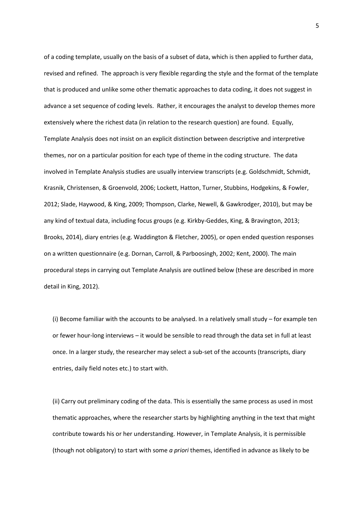of a coding template, usually on the basis of a subset of data, which is then applied to further data, revised and refined. The approach is very flexible regarding the style and the format of the template that is produced and unlike some other thematic approaches to data coding, it does not suggest in advance a set sequence of coding levels. Rather, it encourages the analyst to develop themes more extensively where the richest data (in relation to the research question) are found. Equally, Template Analysis does not insist on an explicit distinction between descriptive and interpretive themes, nor on a particular position for each type of theme in the coding structure. The data involved in Template Analysis studies are usually interview transcripts (e.g. Goldschmidt, Schmidt, Krasnik, Christensen, & Groenvold, 2006; Lockett, Hatton, Turner, Stubbins, Hodgekins, & Fowler, 2012; Slade, Haywood, & King, 2009; Thompson, Clarke, Newell, & Gawkrodger, 2010), but may be any kind of textual data, including focus groups (e.g. Kirkby-Geddes, King, & Bravington, 2013; Brooks, 2014), diary entries (e.g. Waddington & Fletcher, 2005), or open ended question responses on a written questionnaire (e.g. Dornan, Carroll, & Parboosingh, 2002; Kent, 2000). The main procedural steps in carrying out Template Analysis are outlined below (these are described in more detail in King, 2012).

(i) Become familiar with the accounts to be analysed. In a relatively small study – for example ten or fewer hour-long interviews – it would be sensible to read through the data set in full at least once. In a larger study, the researcher may select a sub-set of the accounts (transcripts, diary entries, daily field notes etc.) to start with.

(ii) Carry out preliminary coding of the data. This is essentially the same process as used in most thematic approaches, where the researcher starts by highlighting anything in the text that might contribute towards his or her understanding. However, in Template Analysis, it is permissible (though not obligatory) to start with some *a priori* themes, identified in advance as likely to be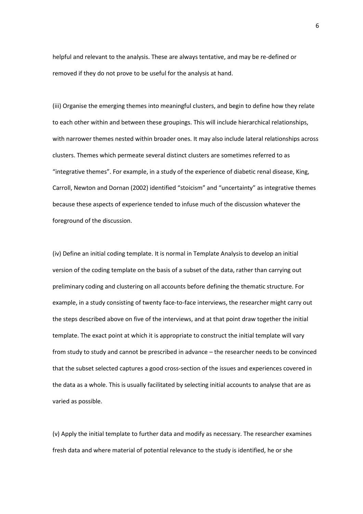helpful and relevant to the analysis. These are always tentative, and may be re-defined or removed if they do not prove to be useful for the analysis at hand.

(iii) Organise the emerging themes into meaningful clusters, and begin to define how they relate to each other within and between these groupings. This will include hierarchical relationships, with narrower themes nested within broader ones. It may also include lateral relationships across clusters. Themes which permeate several distinct clusters are sometimes referred to as "integrative themes". For example, in a study of the experience of diabetic renal disease, King, Carroll, Newton and Dornan (2002) identified "stoicism" and "uncertainty" as integrative themes because these aspects of experience tended to infuse much of the discussion whatever the foreground of the discussion.

(iv) Define an initial coding template. It is normal in Template Analysis to develop an initial version of the coding template on the basis of a subset of the data, rather than carrying out preliminary coding and clustering on all accounts before defining the thematic structure. For example, in a study consisting of twenty face-to-face interviews, the researcher might carry out the steps described above on five of the interviews, and at that point draw together the initial template. The exact point at which it is appropriate to construct the initial template will vary from study to study and cannot be prescribed in advance – the researcher needs to be convinced that the subset selected captures a good cross-section of the issues and experiences covered in the data as a whole. This is usually facilitated by selecting initial accounts to analyse that are as varied as possible.

(v) Apply the initial template to further data and modify as necessary. The researcher examines fresh data and where material of potential relevance to the study is identified, he or she

6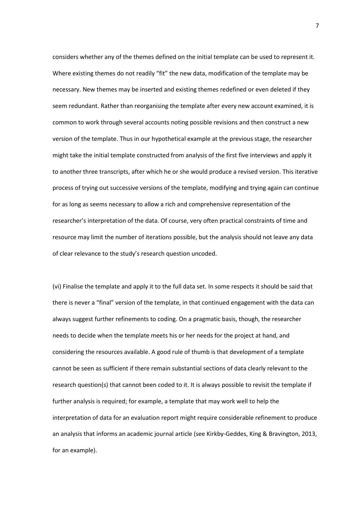considers whether any of the themes defined on the initial template can be used to represent it. Where existing themes do not readily "fit" the new data, modification of the template may be necessary. New themes may be inserted and existing themes redefined or even deleted if they seem redundant. Rather than reorganising the template after every new account examined, it is common to work through several accounts noting possible revisions and then construct a new version of the template. Thus in our hypothetical example at the previous stage, the researcher might take the initial template constructed from analysis of the first five interviews and apply it to another three transcripts, after which he or she would produce a revised version. This iterative process of trying out successive versions of the template, modifying and trying again can continue for as long as seems necessary to allow a rich and comprehensive representation of the researcher's interpretation of the data. Of course, very often practical constraints of time and resource may limit the number of iterations possible, but the analysis should not leave any data of clear relevance to the study's research question uncoded.

(vi) Finalise the template and apply it to the full data set. In some respects it should be said that there is never a "final" version of the template, in that continued engagement with the data can always suggest further refinements to coding. On a pragmatic basis, though, the researcher needs to decide when the template meets his or her needs for the project at hand, and considering the resources available. A good rule of thumb is that development of a template cannot be seen as sufficient if there remain substantial sections of data clearly relevant to the research question(s) that cannot been coded to it. It is always possible to revisit the template if further analysis is required; for example, a template that may work well to help the interpretation of data for an evaluation report might require considerable refinement to produce an analysis that informs an academic journal article (see Kirkby-Geddes, King & Bravington, 2013, for an example).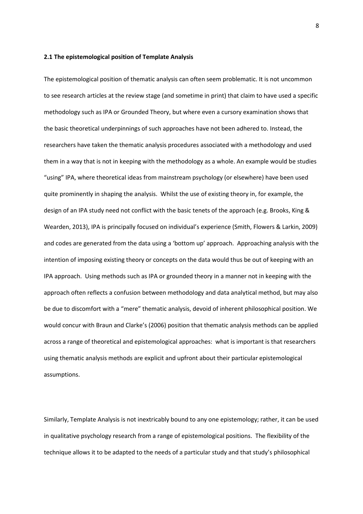#### **2.1 The epistemological position of Template Analysis**

The epistemological position of thematic analysis can often seem problematic. It is not uncommon to see research articles at the review stage (and sometime in print) that claim to have used a specific methodology such as IPA or Grounded Theory, but where even a cursory examination shows that the basic theoretical underpinnings of such approaches have not been adhered to. Instead, the researchers have taken the thematic analysis procedures associated with a methodology and used them in a way that is not in keeping with the methodology as a whole. An example would be studies "using" IPA, where theoretical ideas from mainstream psychology (or elsewhere) have been used quite prominently in shaping the analysis. Whilst the use of existing theory in, for example, the design of an IPA study need not conflict with the basic tenets of the approach (e.g. Brooks, King & Wearden, 2013), IPA is principally focused on individual's experience (Smith, Flowers & Larkin, 2009) and codes are generated from the data using a 'bottom up' approach. Approaching analysis with the intention of imposing existing theory or concepts on the data would thus be out of keeping with an IPA approach. Using methods such as IPA or grounded theory in a manner not in keeping with the approach often reflects a confusion between methodology and data analytical method, but may also be due to discomfort with a "mere" thematic analysis, devoid of inherent philosophical position. We would concur with Braun and Clarke's (2006) position that thematic analysis methods can be applied across a range of theoretical and epistemological approaches: what is important is that researchers using thematic analysis methods are explicit and upfront about their particular epistemological assumptions.

Similarly, Template Analysis is not inextricably bound to any one epistemology; rather, it can be used in qualitative psychology research from a range of epistemological positions. The flexibility of the technique allows it to be adapted to the needs of a particular study and that study's philosophical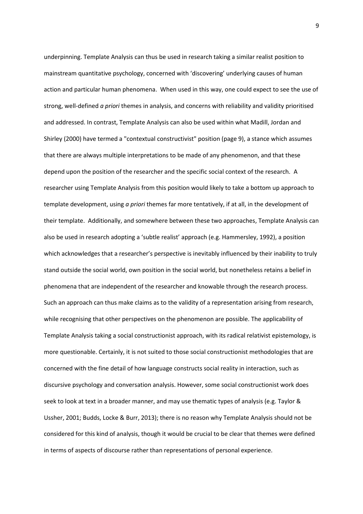underpinning. Template Analysis can thus be used in research taking a similar realist position to mainstream quantitative psychology, concerned with 'discovering' underlying causes of human action and particular human phenomena. When used in this way, one could expect to see the use of strong, well-defined *a priori* themes in analysis, and concerns with reliability and validity prioritised and addressed. In contrast, Template Analysis can also be used within what Madill, Jordan and Shirley (2000) have termed a "contextual constructivist" position (page 9), a stance which assumes that there are always multiple interpretations to be made of any phenomenon, and that these depend upon the position of the researcher and the specific social context of the research. A researcher using Template Analysis from this position would likely to take a bottom up approach to template development, using *a priori* themes far more tentatively, if at all, in the development of their template. Additionally, and somewhere between these two approaches, Template Analysis can also be used in research adopting a 'subtle realist' approach (e.g. Hammersley, 1992), a position which acknowledges that a researcher's perspective is inevitably influenced by their inability to truly stand outside the social world, own position in the social world, but nonetheless retains a belief in phenomena that are independent of the researcher and knowable through the research process. Such an approach can thus make claims as to the validity of a representation arising from research, while recognising that other perspectives on the phenomenon are possible. The applicability of Template Analysis taking a social constructionist approach, with its radical relativist epistemology, is more questionable. Certainly, it is not suited to those social constructionist methodologies that are concerned with the fine detail of how language constructs social reality in interaction, such as discursive psychology and conversation analysis. However, some social constructionist work does seek to look at text in a broader manner, and may use thematic types of analysis (e.g. Taylor & Ussher, 2001; Budds, Locke & Burr, 2013); there is no reason why Template Analysis should not be considered for this kind of analysis, though it would be crucial to be clear that themes were defined in terms of aspects of discourse rather than representations of personal experience.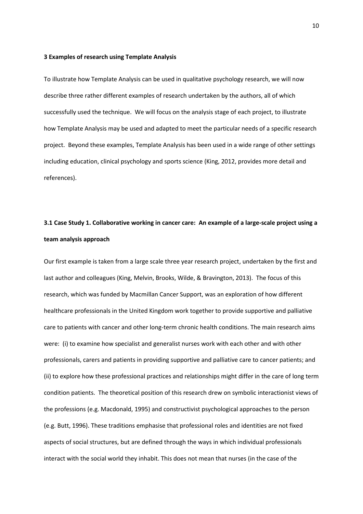#### **3 Examples of research using Template Analysis**

To illustrate how Template Analysis can be used in qualitative psychology research, we will now describe three rather different examples of research undertaken by the authors, all of which successfully used the technique. We will focus on the analysis stage of each project, to illustrate how Template Analysis may be used and adapted to meet the particular needs of a specific research project. Beyond these examples, Template Analysis has been used in a wide range of other settings including education, clinical psychology and sports science (King, 2012, provides more detail and references).

## **3.1 Case Study 1. Collaborative working in cancer care: An example of a large-scale project using a team analysis approach**

Our first example is taken from a large scale three year research project, undertaken by the first and last author and colleagues (King, Melvin, Brooks, Wilde, & Bravington, 2013). The focus of this research, which was funded by Macmillan Cancer Support, was an exploration of how different healthcare professionals in the United Kingdom work together to provide supportive and palliative care to patients with cancer and other long-term chronic health conditions. The main research aims were: (i) to examine how specialist and generalist nurses work with each other and with other professionals, carers and patients in providing supportive and palliative care to cancer patients; and (ii) to explore how these professional practices and relationships might differ in the care of long term condition patients. The theoretical position of this research drew on symbolic interactionist views of the professions (e.g. Macdonald, 1995) and constructivist psychological approaches to the person (e.g. Butt, 1996). These traditions emphasise that professional roles and identities are not fixed aspects of social structures, but are defined through the ways in which individual professionals interact with the social world they inhabit. This does not mean that nurses (in the case of the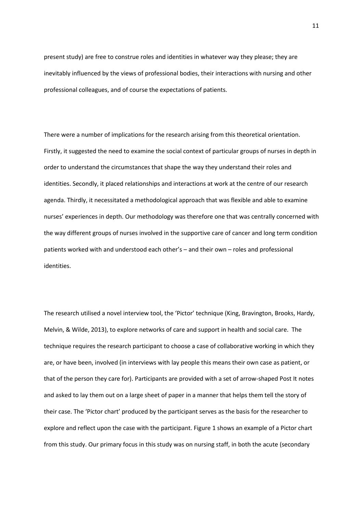present study) are free to construe roles and identities in whatever way they please; they are inevitably influenced by the views of professional bodies, their interactions with nursing and other professional colleagues, and of course the expectations of patients.

There were a number of implications for the research arising from this theoretical orientation. Firstly, it suggested the need to examine the social context of particular groups of nurses in depth in order to understand the circumstances that shape the way they understand their roles and identities. Secondly, it placed relationships and interactions at work at the centre of our research agenda. Thirdly, it necessitated a methodological approach that was flexible and able to examine nurses' experiences in depth. Our methodology was therefore one that was centrally concerned with the way different groups of nurses involved in the supportive care of cancer and long term condition patients worked with and understood each other's – and their own – roles and professional identities.

The research utilised a novel interview tool, the 'Pictor' technique (King, Bravington, Brooks, Hardy, Melvin, & Wilde, 2013), to explore networks of care and support in health and social care. The technique requires the research participant to choose a case of collaborative working in which they are, or have been, involved (in interviews with lay people this means their own case as patient, or that of the person they care for). Participants are provided with a set of arrow-shaped Post It notes and asked to lay them out on a large sheet of paper in a manner that helps them tell the story of their case. The 'Pictor chart' produced by the participant serves as the basis for the researcher to explore and reflect upon the case with the participant. Figure 1 shows an example of a Pictor chart from this study. Our primary focus in this study was on nursing staff, in both the acute (secondary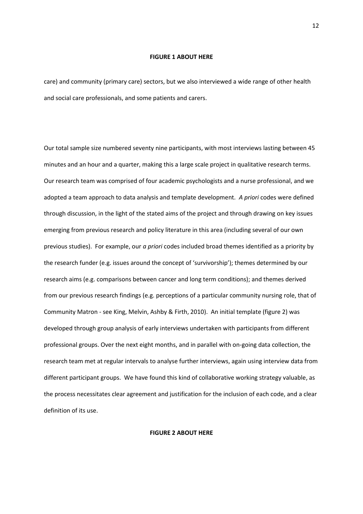#### **FIGURE 1 ABOUT HERE**

care) and community (primary care) sectors, but we also interviewed a wide range of other health and social care professionals, and some patients and carers.

Our total sample size numbered seventy nine participants, with most interviews lasting between 45 minutes and an hour and a quarter, making this a large scale project in qualitative research terms. Our research team was comprised of four academic psychologists and a nurse professional, and we adopted a team approach to data analysis and template development. *A priori* codes were defined through discussion, in the light of the stated aims of the project and through drawing on key issues emerging from previous research and policy literature in this area (including several of our own previous studies). For example, our *a priori* codes included broad themes identified as a priority by the research funder (e.g. issues around the concept of 'survivorship'); themes determined by our research aims (e.g. comparisons between cancer and long term conditions); and themes derived from our previous research findings (e.g. perceptions of a particular community nursing role, that of Community Matron - see King, Melvin, Ashby & Firth, 2010). An initial template (figure 2) was developed through group analysis of early interviews undertaken with participants from different professional groups. Over the next eight months, and in parallel with on-going data collection, the research team met at regular intervals to analyse further interviews, again using interview data from different participant groups. We have found this kind of collaborative working strategy valuable, as the process necessitates clear agreement and justification for the inclusion of each code, and a clear definition of its use.

#### **FIGURE 2 ABOUT HERE**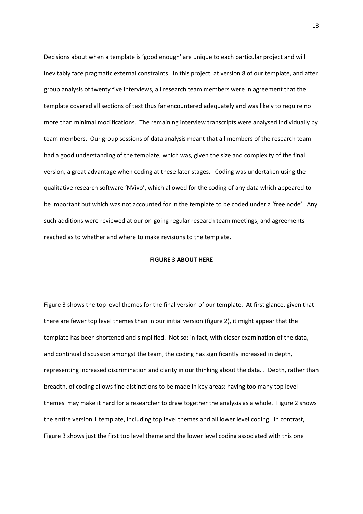Decisions about when a template is 'good enough' are unique to each particular project and will inevitably face pragmatic external constraints. In this project, at version 8 of our template, and after group analysis of twenty five interviews, all research team members were in agreement that the template covered all sections of text thus far encountered adequately and was likely to require no more than minimal modifications. The remaining interview transcripts were analysed individually by team members. Our group sessions of data analysis meant that all members of the research team had a good understanding of the template, which was, given the size and complexity of the final version, a great advantage when coding at these later stages. Coding was undertaken using the qualitative research software 'NVivo', which allowed for the coding of any data which appeared to be important but which was not accounted for in the template to be coded under a 'free node'. Any such additions were reviewed at our on-going regular research team meetings, and agreements reached as to whether and where to make revisions to the template.

#### **FIGURE 3 ABOUT HERE**

Figure 3 shows the top level themes for the final version of our template. At first glance, given that there are fewer top level themes than in our initial version (figure 2), it might appear that the template has been shortened and simplified. Not so: in fact, with closer examination of the data, and continual discussion amongst the team, the coding has significantly increased in depth, representing increased discrimination and clarity in our thinking about the data. . Depth, rather than breadth, of coding allows fine distinctions to be made in key areas: having too many top level themes may make it hard for a researcher to draw together the analysis as a whole. Figure 2 shows the entire version 1 template, including top level themes and all lower level coding. In contrast, Figure 3 shows just the first top level theme and the lower level coding associated with this one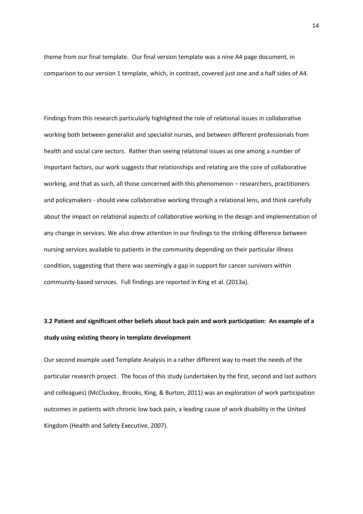theme from our final template. Our final version template was a nine A4 page document, in comparison to our version 1 template, which, in contrast, covered just one and a half sides of A4.

Findings from this research particularly highlighted the role of relational issues in collaborative working both between generalist and specialist nurses, and between different professionals from health and social care sectors. Rather than seeing relational issues as one among a number of important factors, our work suggests that relationships and relating are the core of collaborative working, and that as such, all those concerned with this phenomenon – researchers, practitioners and policymakers - should view collaborative working through a relational lens, and think carefully about the impact on relational aspects of collaborative working in the design and implementation of any change in services. We also drew attention in our findings to the striking difference between nursing services available to patients in the community depending on their particular illness condition, suggesting that there was seemingly a gap in support for cancer survivors within community-based services. Full findings are reported in King et al. (2013a).

# **3.2 Patient and significant other beliefs about back pain and work participation: An example of a study using existing theory in template development**

Our second example used Template Analysis in a rather different way to meet the needs of the particular research project. The focus of this study (undertaken by the first, second and last authors and colleagues) (McCluskey, Brooks, King, & Burton, 2011) was an exploration of work participation outcomes in patients with chronic low back pain, a leading cause of work disability in the United Kingdom (Health and Safety Executive, 2007).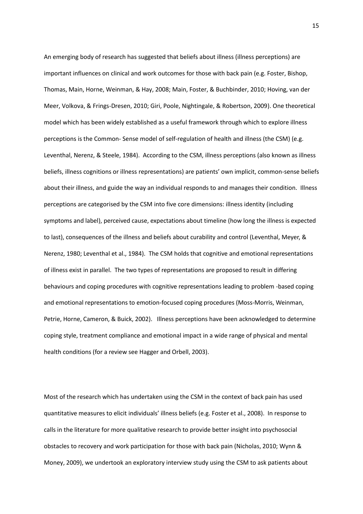An emerging body of research has suggested that beliefs about illness (illness perceptions) are important influences on clinical and work outcomes for those with back pain (e.g. Foster, Bishop, Thomas, Main, Horne, Weinman, & Hay, 2008; Main, Foster, & Buchbinder, 2010; Hoving, van der Meer, Volkova, & Frings-Dresen, 2010; Giri, Poole, Nightingale, & Robertson, 2009). One theoretical model which has been widely established as a useful framework through which to explore illness perceptions is the Common- Sense model of self-regulation of health and illness (the CSM) (e.g. Leventhal, Nerenz, & Steele, 1984). According to the CSM, illness perceptions (also known as illness beliefs, illness cognitions or illness representations) are patients' own implicit, common-sense beliefs about their illness, and guide the way an individual responds to and manages their condition. Illness perceptions are categorised by the CSM into five core dimensions: illness identity (including symptoms and label), perceived cause, expectations about timeline (how long the illness is expected to last), consequences of the illness and beliefs about curability and control (Leventhal, Meyer, & Nerenz, 1980; Leventhal et al., 1984). The CSM holds that cognitive and emotional representations of illness exist in parallel. The two types of representations are proposed to result in differing behaviours and coping procedures with cognitive representations leading to problem -based coping and emotional representations to emotion-focused coping procedures (Moss-Morris, Weinman, Petrie, Horne, Cameron, & Buick, 2002). Illness perceptions have been acknowledged to determine coping style, treatment compliance and emotional impact in a wide range of physical and mental health conditions (for a review see Hagger and Orbell, 2003).

Most of the research which has undertaken using the CSM in the context of back pain has used quantitative measures to elicit individuals' illness beliefs (e.g. Foster et al., 2008). In response to calls in the literature for more qualitative research to provide better insight into psychosocial obstacles to recovery and work participation for those with back pain (Nicholas, 2010; Wynn & Money, 2009), we undertook an exploratory interview study using the CSM to ask patients about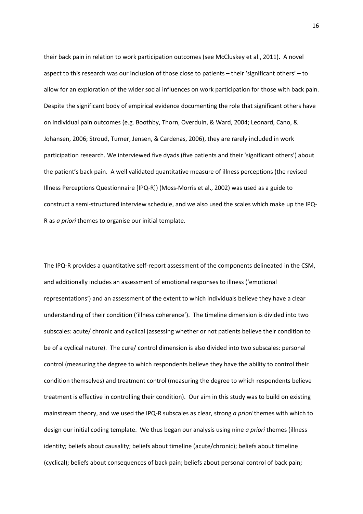their back pain in relation to work participation outcomes (see McCluskey et al., 2011). A novel aspect to this research was our inclusion of those close to patients – their 'significant others' – to allow for an exploration of the wider social influences on work participation for those with back pain. Despite the significant body of empirical evidence documenting the role that significant others have on individual pain outcomes (e.g. Boothby, Thorn, Overduin, & Ward, 2004; Leonard, Cano, & Johansen, 2006; Stroud, Turner, Jensen, & Cardenas, 2006), they are rarely included in work participation research. We interviewed five dyads (five patients and their 'significant others') about the patient's back pain. A well validated quantitative measure of illness perceptions (the revised Illness Perceptions Questionnaire [IPQ-R]) (Moss-Morris et al., 2002) was used as a guide to construct a semi-structured interview schedule, and we also used the scales which make up the IPQ-R as *a priori* themes to organise our initial template.

The IPQ-R provides a quantitative self-report assessment of the components delineated in the CSM, and additionally includes an assessment of emotional responses to illness ('emotional representations') and an assessment of the extent to which individuals believe they have a clear understanding of their condition ('illness coherence'). The timeline dimension is divided into two subscales: acute/ chronic and cyclical (assessing whether or not patients believe their condition to be of a cyclical nature). The cure/ control dimension is also divided into two subscales: personal control (measuring the degree to which respondents believe they have the ability to control their condition themselves) and treatment control (measuring the degree to which respondents believe treatment is effective in controlling their condition). Our aim in this study was to build on existing mainstream theory, and we used the IPQ-R subscales as clear, strong *a priori* themes with which to design our initial coding template. We thus began our analysis using nine *a priori* themes (illness identity; beliefs about causality; beliefs about timeline (acute/chronic); beliefs about timeline (cyclical); beliefs about consequences of back pain; beliefs about personal control of back pain;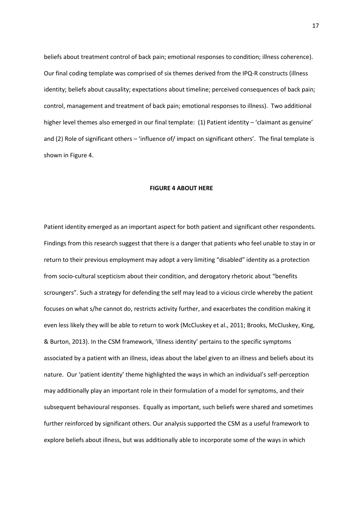beliefs about treatment control of back pain; emotional responses to condition; illness coherence). Our final coding template was comprised of six themes derived from the IPQ-R constructs (illness identity; beliefs about causality; expectations about timeline; perceived consequences of back pain; control, management and treatment of back pain; emotional responses to illness). Two additional higher level themes also emerged in our final template: (1) Patient identity – 'claimant as genuine' and (2) Role of significant others – 'influence of/ impact on significant others'. The final template is shown in Figure 4.

#### **FIGURE 4 ABOUT HERE**

Patient identity emerged as an important aspect for both patient and significant other respondents. Findings from this research suggest that there is a danger that patients who feel unable to stay in or return to their previous employment may adopt a very limiting "disabled" identity as a protection from socio-cultural scepticism about their condition, and derogatory rhetoric about "benefits scroungers". Such a strategy for defending the self may lead to a vicious circle whereby the patient focuses on what s/he cannot do, restricts activity further, and exacerbates the condition making it even less likely they will be able to return to work (McCluskey et al., 2011; Brooks, McCluskey, King, & Burton, 2013). In the CSM framework, 'illness identity' pertains to the specific symptoms associated by a patient with an illness, ideas about the label given to an illness and beliefs about its nature. Our 'patient identity' theme highlighted the ways in which an individual's self-perception may additionally play an important role in their formulation of a model for symptoms, and their subsequent behavioural responses. Equally as important, such beliefs were shared and sometimes further reinforced by significant others. Our analysis supported the CSM as a useful framework to explore beliefs about illness, but was additionally able to incorporate some of the ways in which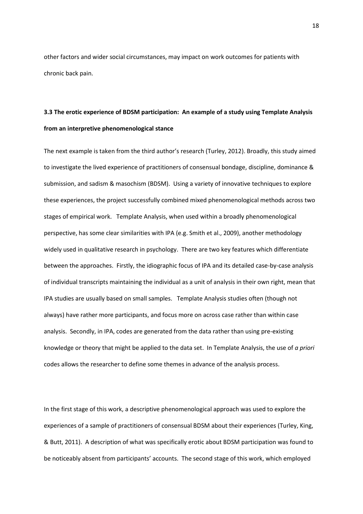other factors and wider social circumstances, may impact on work outcomes for patients with chronic back pain.

## **3.3 The erotic experience of BDSM participation: An example of a study using Template Analysis from an interpretive phenomenological stance**

The next example is taken from the third author's research (Turley, 2012). Broadly, this study aimed to investigate the lived experience of practitioners of consensual bondage, discipline, dominance & submission, and sadism & masochism (BDSM). Using a variety of innovative techniques to explore these experiences, the project successfully combined mixed phenomenological methods across two stages of empirical work. Template Analysis, when used within a broadly phenomenological perspective, has some clear similarities with IPA (e.g. Smith et al., 2009), another methodology widely used in qualitative research in psychology. There are two key features which differentiate between the approaches. Firstly, the idiographic focus of IPA and its detailed case-by-case analysis of individual transcripts maintaining the individual as a unit of analysis in their own right, mean that IPA studies are usually based on small samples. Template Analysis studies often (though not always) have rather more participants, and focus more on across case rather than within case analysis. Secondly, in IPA, codes are generated from the data rather than using pre-existing knowledge or theory that might be applied to the data set. In Template Analysis, the use of *a priori* codes allows the researcher to define some themes in advance of the analysis process.

In the first stage of this work, a descriptive phenomenological approach was used to explore the experiences of a sample of practitioners of consensual BDSM about their experiences (Turley, King, & Butt, 2011). A description of what was specifically erotic about BDSM participation was found to be noticeably absent from participants' accounts. The second stage of this work, which employed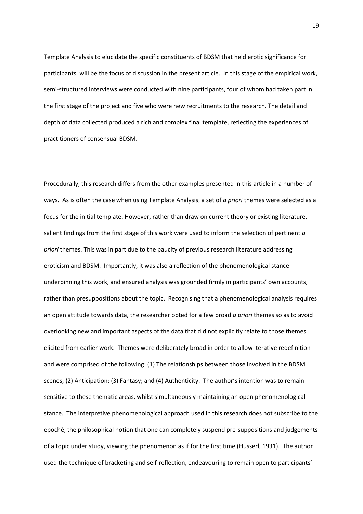Template Analysis to elucidate the specific constituents of BDSM that held erotic significance for participants, will be the focus of discussion in the present article. In this stage of the empirical work, semi-structured interviews were conducted with nine participants, four of whom had taken part in the first stage of the project and five who were new recruitments to the research. The detail and depth of data collected produced a rich and complex final template, reflecting the experiences of practitioners of consensual BDSM.

Procedurally, this research differs from the other examples presented in this article in a number of ways. As is often the case when using Template Analysis, a set of *a priori* themes were selected as a focus for the initial template. However, rather than draw on current theory or existing literature, salient findings from the first stage of this work were used to inform the selection of pertinent *a priori* themes. This was in part due to the paucity of previous research literature addressing eroticism and BDSM. Importantly, it was also a reflection of the phenomenological stance underpinning this work, and ensured analysis was grounded firmly in participants' own accounts, rather than presuppositions about the topic. Recognising that a phenomenological analysis requires an open attitude towards data, the researcher opted for a few broad *a priori* themes so as to avoid overlooking new and important aspects of the data that did not explicitly relate to those themes elicited from earlier work. Themes were deliberately broad in order to allow iterative redefinition and were comprised of the following: (1) The relationships between those involved in the BDSM scenes; (2) Anticipation; (3) Fantasy; and (4) Authenticity. The author's intention was to remain sensitive to these thematic areas, whilst simultaneously maintaining an open phenomenological stance. The interpretive phenomenological approach used in this research does not subscribe to the epochē, the philosophical notion that one can completely suspend pre-suppositions and judgements of a topic under study, viewing the phenomenon as if for the first time (Husserl, 1931). The author used the technique of bracketing and self-reflection, endeavouring to remain open to participants'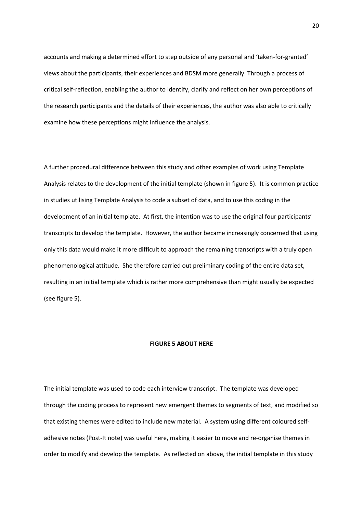accounts and making a determined effort to step outside of any personal and 'taken-for-granted' views about the participants, their experiences and BDSM more generally. Through a process of critical self-reflection, enabling the author to identify, clarify and reflect on her own perceptions of the research participants and the details of their experiences, the author was also able to critically examine how these perceptions might influence the analysis.

A further procedural difference between this study and other examples of work using Template Analysis relates to the development of the initial template (shown in figure 5). It is common practice in studies utilising Template Analysis to code a subset of data, and to use this coding in the development of an initial template. At first, the intention was to use the original four participants' transcripts to develop the template. However, the author became increasingly concerned that using only this data would make it more difficult to approach the remaining transcripts with a truly open phenomenological attitude. She therefore carried out preliminary coding of the entire data set, resulting in an initial template which is rather more comprehensive than might usually be expected (see figure 5).

#### **FIGURE 5 ABOUT HERE**

The initial template was used to code each interview transcript. The template was developed through the coding process to represent new emergent themes to segments of text, and modified so that existing themes were edited to include new material. A system using different coloured selfadhesive notes (Post-It note) was useful here, making it easier to move and re-organise themes in order to modify and develop the template. As reflected on above, the initial template in this study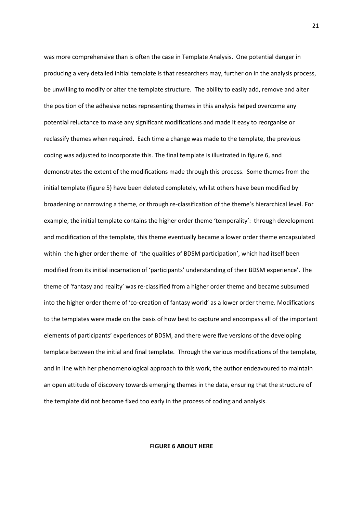was more comprehensive than is often the case in Template Analysis. One potential danger in producing a very detailed initial template is that researchers may, further on in the analysis process, be unwilling to modify or alter the template structure. The ability to easily add, remove and alter the position of the adhesive notes representing themes in this analysis helped overcome any potential reluctance to make any significant modifications and made it easy to reorganise or reclassify themes when required. Each time a change was made to the template, the previous coding was adjusted to incorporate this. The final template is illustrated in figure 6, and demonstrates the extent of the modifications made through this process. Some themes from the initial template (figure 5) have been deleted completely, whilst others have been modified by broadening or narrowing a theme, or through re-classification of the theme's hierarchical level. For example, the initial template contains the higher order theme 'temporality': through development and modification of the template, this theme eventually became a lower order theme encapsulated within the higher order theme of 'the qualities of BDSM participation', which had itself been modified from its initial incarnation of 'participants' understanding of their BDSM experience'. The theme of 'fantasy and reality' was re-classified from a higher order theme and became subsumed into the higher order theme of 'co-creation of fantasy world' as a lower order theme. Modifications to the templates were made on the basis of how best to capture and encompass all of the important elements of participants' experiences of BDSM, and there were five versions of the developing template between the initial and final template. Through the various modifications of the template, and in line with her phenomenological approach to this work, the author endeavoured to maintain an open attitude of discovery towards emerging themes in the data, ensuring that the structure of the template did not become fixed too early in the process of coding and analysis.

**FIGURE 6 ABOUT HERE**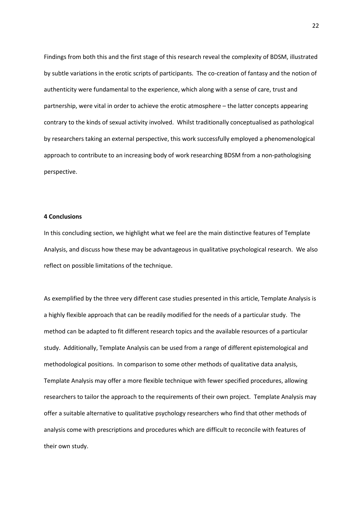Findings from both this and the first stage of this research reveal the complexity of BDSM, illustrated by subtle variations in the erotic scripts of participants. The co-creation of fantasy and the notion of authenticity were fundamental to the experience, which along with a sense of care, trust and partnership, were vital in order to achieve the erotic atmosphere – the latter concepts appearing contrary to the kinds of sexual activity involved. Whilst traditionally conceptualised as pathological by researchers taking an external perspective, this work successfully employed a phenomenological approach to contribute to an increasing body of work researching BDSM from a non-pathologising perspective.

#### **4 Conclusions**

In this concluding section, we highlight what we feel are the main distinctive features of Template Analysis, and discuss how these may be advantageous in qualitative psychological research. We also reflect on possible limitations of the technique.

As exemplified by the three very different case studies presented in this article, Template Analysis is a highly flexible approach that can be readily modified for the needs of a particular study. The method can be adapted to fit different research topics and the available resources of a particular study. Additionally, Template Analysis can be used from a range of different epistemological and methodological positions. In comparison to some other methods of qualitative data analysis, Template Analysis may offer a more flexible technique with fewer specified procedures, allowing researchers to tailor the approach to the requirements of their own project. Template Analysis may offer a suitable alternative to qualitative psychology researchers who find that other methods of analysis come with prescriptions and procedures which are difficult to reconcile with features of their own study.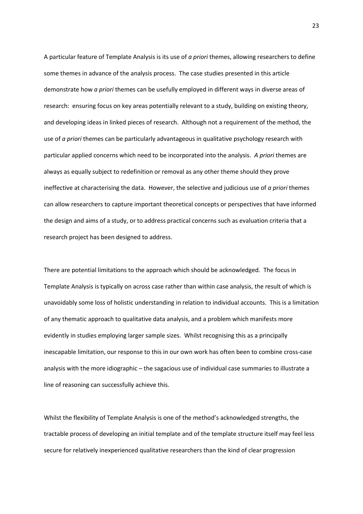A particular feature of Template Analysis is its use of *a priori* themes, allowing researchers to define some themes in advance of the analysis process. The case studies presented in this article demonstrate how *a priori* themes can be usefully employed in different ways in diverse areas of research: ensuring focus on key areas potentially relevant to a study, building on existing theory, and developing ideas in linked pieces of research. Although not a requirement of the method, the use of *a priori* themes can be particularly advantageous in qualitative psychology research with particular applied concerns which need to be incorporated into the analysis. *A priori* themes are always as equally subject to redefinition or removal as any other theme should they prove ineffective at characterising the data. However, the selective and judicious use of *a priori* themes can allow researchers to capture important theoretical concepts or perspectives that have informed the design and aims of a study, or to address practical concerns such as evaluation criteria that a research project has been designed to address.

There are potential limitations to the approach which should be acknowledged. The focus in Template Analysis is typically on across case rather than within case analysis, the result of which is unavoidably some loss of holistic understanding in relation to individual accounts. This is a limitation of any thematic approach to qualitative data analysis, and a problem which manifests more evidently in studies employing larger sample sizes. Whilst recognising this as a principally inescapable limitation, our response to this in our own work has often been to combine cross-case analysis with the more idiographic – the sagacious use of individual case summaries to illustrate a line of reasoning can successfully achieve this.

Whilst the flexibility of Template Analysis is one of the method's acknowledged strengths, the tractable process of developing an initial template and of the template structure itself may feel less secure for relatively inexperienced qualitative researchers than the kind of clear progression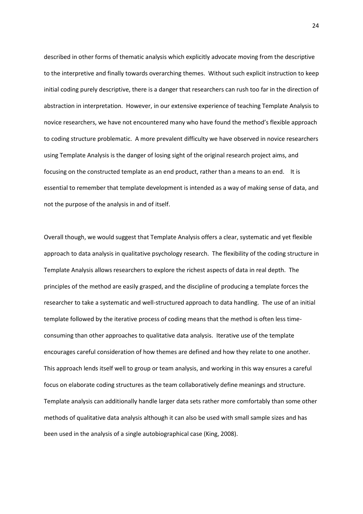described in other forms of thematic analysis which explicitly advocate moving from the descriptive to the interpretive and finally towards overarching themes. Without such explicit instruction to keep initial coding purely descriptive, there is a danger that researchers can rush too far in the direction of abstraction in interpretation. However, in our extensive experience of teaching Template Analysis to novice researchers, we have not encountered many who have found the method's flexible approach to coding structure problematic. A more prevalent difficulty we have observed in novice researchers using Template Analysis is the danger of losing sight of the original research project aims, and focusing on the constructed template as an end product, rather than a means to an end. It is essential to remember that template development is intended as a way of making sense of data, and not the purpose of the analysis in and of itself.

Overall though, we would suggest that Template Analysis offers a clear, systematic and yet flexible approach to data analysis in qualitative psychology research. The flexibility of the coding structure in Template Analysis allows researchers to explore the richest aspects of data in real depth. The principles of the method are easily grasped, and the discipline of producing a template forces the researcher to take a systematic and well-structured approach to data handling. The use of an initial template followed by the iterative process of coding means that the method is often less timeconsuming than other approaches to qualitative data analysis. Iterative use of the template encourages careful consideration of how themes are defined and how they relate to one another. This approach lends itself well to group or team analysis, and working in this way ensures a careful focus on elaborate coding structures as the team collaboratively define meanings and structure. Template analysis can additionally handle larger data sets rather more comfortably than some other methods of qualitative data analysis although it can also be used with small sample sizes and has been used in the analysis of a single autobiographical case (King, 2008).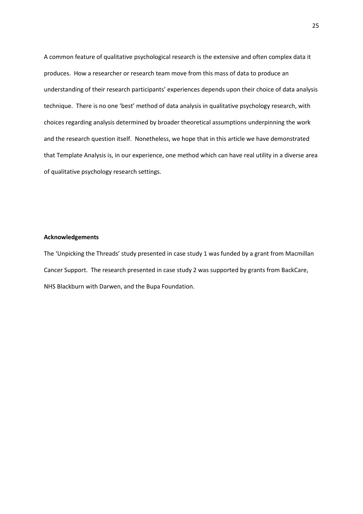A common feature of qualitative psychological research is the extensive and often complex data it produces. How a researcher or research team move from this mass of data to produce an understanding of their research participants' experiences depends upon their choice of data analysis technique. There is no one 'best' method of data analysis in qualitative psychology research, with choices regarding analysis determined by broader theoretical assumptions underpinning the work and the research question itself. Nonetheless, we hope that in this article we have demonstrated that Template Analysis is, in our experience, one method which can have real utility in a diverse area of qualitative psychology research settings.

### **Acknowledgements**

The 'Unpicking the Threads' study presented in case study 1 was funded by a grant from Macmillan Cancer Support. The research presented in case study 2 was supported by grants from BackCare, NHS Blackburn with Darwen, and the Bupa Foundation.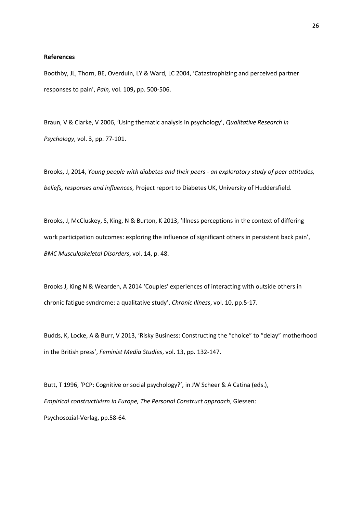#### **References**

Boothby, JL, Thorn, BE, Overduin, LY & Ward, LC 2004, 'Catastrophizing and perceived partner responses to pain', *Pain,* vol. 109**,** pp. 500-506.

Braun, V & Clarke, V 2006, 'Using thematic analysis in psychology', *Qualitative Research in Psychology*, vol. 3, pp. 77-101.

Brooks, J, 2014, *Young people with diabetes and their peers - an exploratory study of peer attitudes, beliefs, responses and influences*, Project report to Diabetes UK, University of Huddersfield.

Brooks, J, McCluskey, S, King, N & Burton, K 2013, 'Illness perceptions in the context of differing work participation outcomes: exploring the influence of significant others in persistent back pain', *BMC Musculoskeletal Disorders*, vol. 14, p. 48.

Brooks J, King N & Wearden, A 2014 'Couples' experiences of interacting with outside others in chronic fatigue syndrome: a qualitative study', *Chronic Illness*, vol. 10, pp.5-17.

Budds, K, Locke, A & Burr, V 2013, 'Risky Business: Constructing the "choice" to "delay" motherhood in the British press', *Feminist Media Studies*, vol. 13, pp. 132-147.

Butt, T 1996, 'PCP: Cognitive or social psychology?', in JW Scheer & A Catina (eds.), *Empirical constructivism in Europe, The Personal Construct approach*, Giessen: Psychosozial-Verlag, pp.58-64.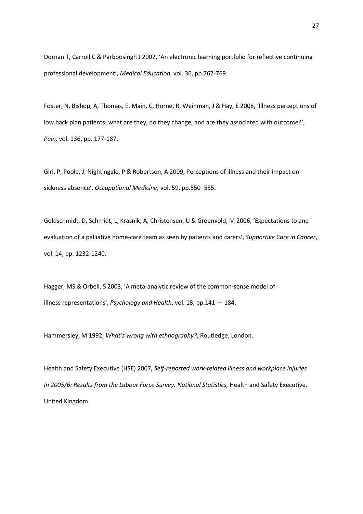Dornan T, Carroll C & Parboosingh J 2002, 'An electronic learning portfolio for reflective continuing professional development', *Medical Education*, vol. 36, pp.767-769.

Foster, N, Bishop, A, Thomas, E, Main, C, Horne, R, Weinman, J & Hay, E 2008, 'Illness perceptions of low back pian patients: what are they, do they change, and are they associated with outcome?', *Pain,* vol. 136, pp. 177-187.

Giri, P, Poole, J, Nightingale, P & Robertson, A 2009, Perceptions of illness and their impact on sickness absence', *Occupational Medicine,* vol. 59, pp.550–555.

Goldschmidt, D, Schmidt, L, Krasnik, A, Christensen, U & Groenvold, M 2006, 'Expectations to and evaluation of a palliative home-care team as seen by patients and carers', *Supportive Care in Cancer*, vol. 14, pp. 1232-1240.

Hagger, MS & Orbell, S 2003, 'A meta-analytic review of the common-sense model of illness representations', *Psychology and Health*, vol. 18, pp.141 — 184.

Hammersley, M 1992, *What's wrong with ethnography?*, Routledge, London.

Health and Safety Executive (HSE) 2007, *Self-reported work-related illness and workplace injuries In 2005/6: Results from the Labour Force Survey. National Statistics,* Health and Safety Executive, United Kingdom.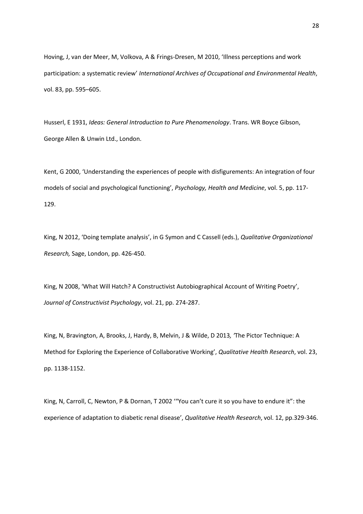Hoving, J, van der Meer, M, Volkova, A & Frings-Dresen, M 2010, 'Illness perceptions and work participation: a systematic review' *International Archives of Occupational and Environmental Health*, vol. 83, pp. 595–605.

Husserl, E 1931, *Ideas: General Introduction to Pure Phenomenology*. Trans. WR Boyce Gibson, George Allen & Unwin Ltd., London.

Kent, G 2000, 'Understanding the experiences of people with disfigurements: An integration of four models of social and psychological functioning', *Psychology, Health and Medicine*, vol. 5, pp. 117- 129.

King, N 2012, 'Doing template analysis', in G Symon and C Cassell (eds.), *Qualitative Organizational Research,* Sage, London, pp. 426-450.

King, N 2008, 'What Will Hatch? A Constructivist Autobiographical Account of Writing Poetry', *Journal of Constructivist Psychology*, vol. 21, pp. 274-287.

King, N, Bravington, A, Brooks, J, Hardy, B, Melvin, J & Wilde, D 2013*, '*The Pictor Technique: A Method for Exploring the Experience of Collaborative Working', *Qualitative Health Research*, vol. 23, pp. 1138-1152.

King, N, Carroll, C, Newton, P & Dornan, T 2002 '"You can't cure it so you have to endure it": the experience of adaptation to diabetic renal disease', *Qualitative Health Research*, vol. 12, pp.329-346.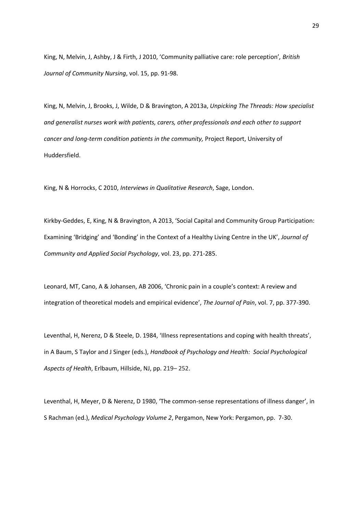King, N, Melvin, J, Ashby, J & Firth, J 2010, 'Community palliative care: role perception'*, British Journal of Community Nursing*, vol. 15, pp. 91-98.

King, N, Melvin, J, Brooks, J, Wilde, D & Bravington, A 2013a, *Unpicking The Threads: How specialist and generalist nurses work with patients, carers, other professionals and each other to support cancer and long-term condition patients in the community,* Project Report, University of Huddersfield.

King, N & Horrocks, C 2010, *Interviews in Qualitative Research*, Sage, London.

Kirkby-Geddes, E, King, N & Bravington, A 2013, 'Social Capital and Community Group Participation: Examining 'Bridging' and 'Bonding' in the Context of a Healthy Living Centre in the UK', *Journal of Community and Applied Social Psychology*, vol. 23, pp. 271-285.

Leonard, MT, Cano, A & Johansen, AB 2006, 'Chronic pain in a couple's context: A review and integration of theoretical models and empirical evidence', *The Journal of Pain*, vol. 7, pp. 377-390.

Leventhal, H, Nerenz, D & Steele, D. 1984, 'Illness representations and coping with health threats', in A Baum, S Taylor and J Singer (eds.), *Handbook of Psychology and Health: Social Psychological Aspects of Health*, Erlbaum, Hillside, NJ, pp. 219*–* 252.

Leventhal, H, Meyer, D & Nerenz, D 1980, 'The common-sense representations of illness danger', in S Rachman (ed.), *Medical Psychology Volume 2*, Pergamon, New York: Pergamon, pp. 7-30.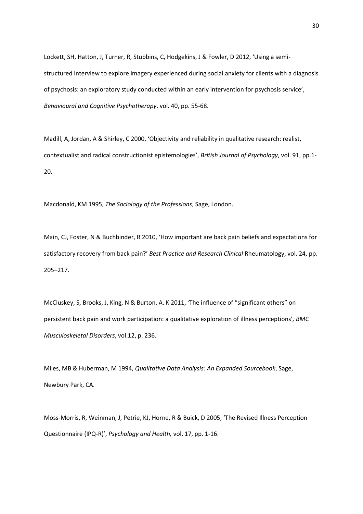Lockett, SH, Hatton, J, Turner, R, Stubbins, C, Hodgekins, J & Fowler, D 2012, 'Using a semistructured interview to explore imagery experienced during social anxiety for clients with a diagnosis of psychosis: an exploratory study conducted within an early intervention for psychosis service', *Behavioural and Cognitive Psychotherapy*, vol. 40, pp. 55-68.

Madill, A, Jordan, A & Shirley, C 2000, 'Objectivity and reliability in qualitative research: realist, contextualist and radical constructionist epistemologies', *British Journal of Psychology*, vol. 91, pp.1- 20.

Macdonald, KM 1995, *The Sociology of the Professions*, Sage, London.

Main, CJ, Foster, N & Buchbinder, R 2010, 'How important are back pain beliefs and expectations for satisfactory recovery from back pain?' *Best Practice and Research Clinical* Rheumatology, vol. 24, pp. 205–217.

McCluskey, S, Brooks, J, King, N & Burton, A. K 2011, *'*The influence of "significant others" on persistent back pain and work participation: a qualitative exploration of illness perceptions'*, BMC Musculoskeletal Disorders*, vol.12, p. 236.

Miles, MB & Huberman, M 1994, *Qualitative Data Analysis: An Expanded Sourcebook*, Sage, Newbury Park, CA.

Moss-Morris, R, Weinman, J, Petrie, KJ, Horne, R & Buick, D 2005, 'The Revised Illness Perception Questionnaire (IPQ-R)', *Psychology and Health,* vol. 17, pp. 1-16.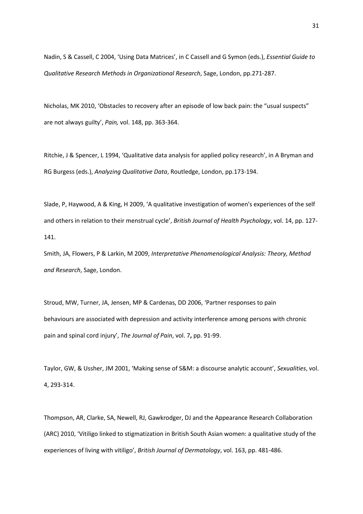Nadin, S & Cassell, C 2004, 'Using Data Matrices', in C Cassell and G Symon (eds.), *Essential Guide to Qualitative Research Methods in Organizational Research*, Sage, London, pp.271-287.

Nicholas, MK 2010, 'Obstacles to recovery after an episode of low back pain: the "usual suspects" are not always guilty', *Pain,* vol. 148, pp. 363-364.

Ritchie, J & Spencer, L 1994, 'Qualitative data analysis for applied policy research', in A Bryman and RG Burgess (eds.), *Analyzing Qualitative Data*, Routledge, London, pp.173-194.

Slade, P, Haywood, A & King, H 2009, 'A qualitative investigation of women's experiences of the self and others in relation to their menstrual cycle', *British Journal of Health Psychology*, vol. 14, pp. 127- 141.

Smith, JA, Flowers, P & Larkin, M 2009, *Interpretative Phenomenological Analysis: Theory, Method and Research*, Sage, London.

Stroud, MW, Turner, JA, Jensen, MP & Cardenas, DD 2006, 'Partner responses to pain behaviours are associated with depression and activity interference among persons with chronic pain and spinal cord injury', *The Journal of Pain*, vol. 7**,** pp. 91-99.

Taylor, GW, & Ussher, JM 2001, 'Making sense of S&M: a discourse analytic account', *Sexualities*, vol. 4, 293-314.

Thompson, AR, Clarke, SA, Newell, RJ, Gawkrodger, DJ and the Appearance Research Collaboration (ARC) 2010, 'Vitiligo linked to stigmatization in British South Asian women: a qualitative study of the experiences of living with vitiligo', *British Journal of Dermatology*, vol. 163, pp. 481-486.